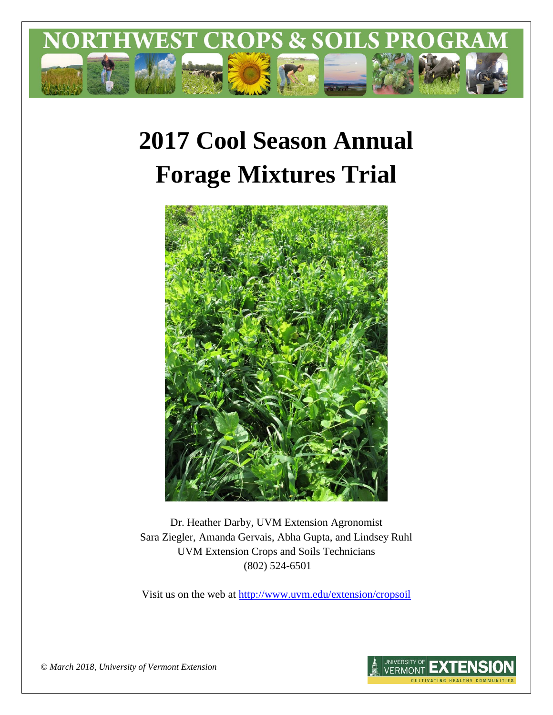

# **2017 Cool Season Annual Forage Mixtures Trial**



Dr. Heather Darby, UVM Extension Agronomist Sara Ziegler, Amanda Gervais, Abha Gupta, and Lindsey Ruhl UVM Extension Crops and Soils Technicians (802) 524-6501

Visit us on the web at <http://www.uvm.edu/extension/cropsoil>



*© March 2018, University of Vermont Extension*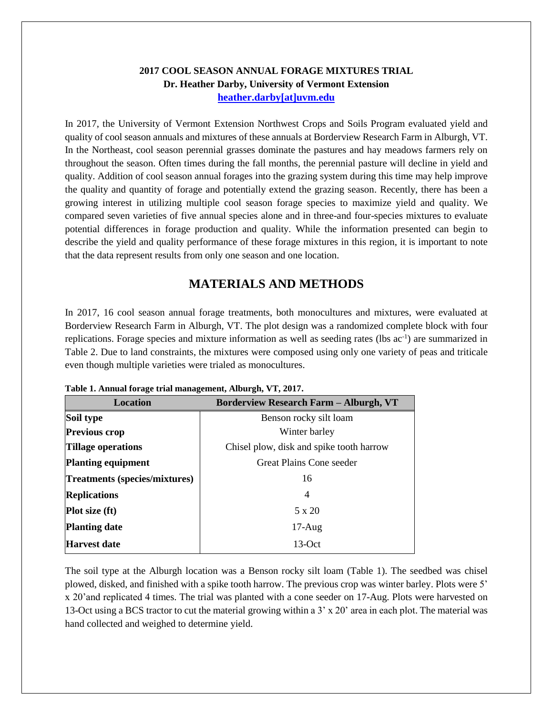#### **2017 COOL SEASON ANNUAL FORAGE MIXTURES TRIAL Dr. Heather Darby, University of Vermont Extension [heather.darby\[at\]uvm.edu](mailto:heather.darby@uvm.edu?subject=2013%20Long%20Season%20Corn%20Report)**

In 2017, the University of Vermont Extension Northwest Crops and Soils Program evaluated yield and quality of cool season annuals and mixtures of these annuals at Borderview Research Farm in Alburgh, VT. In the Northeast, cool season perennial grasses dominate the pastures and hay meadows farmers rely on throughout the season. Often times during the fall months, the perennial pasture will decline in yield and quality. Addition of cool season annual forages into the grazing system during this time may help improve the quality and quantity of forage and potentially extend the grazing season. Recently, there has been a growing interest in utilizing multiple cool season forage species to maximize yield and quality. We compared seven varieties of five annual species alone and in three-and four-species mixtures to evaluate potential differences in forage production and quality. While the information presented can begin to describe the yield and quality performance of these forage mixtures in this region, it is important to note that the data represent results from only one season and one location.

## **MATERIALS AND METHODS**

In 2017, 16 cool season annual forage treatments, both monocultures and mixtures, were evaluated at Borderview Research Farm in Alburgh, VT. The plot design was a randomized complete block with four replications. Forage species and mixture information as well as seeding rates (lbs ac<sup>-1</sup>) are summarized in Table 2. Due to land constraints, the mixtures were composed using only one variety of peas and triticale even though multiple varieties were trialed as monocultures.

| <b>Location</b>                      | <b>Borderview Research Farm - Alburgh, VT</b> |  |  |
|--------------------------------------|-----------------------------------------------|--|--|
| Soil type                            | Benson rocky silt loam                        |  |  |
| <b>Previous crop</b>                 | Winter barley                                 |  |  |
| <b>Tillage operations</b>            | Chisel plow, disk and spike tooth harrow      |  |  |
| <b>Planting equipment</b>            | <b>Great Plains Cone seeder</b>               |  |  |
| <b>Treatments (species/mixtures)</b> | 16                                            |  |  |
| <b>Replications</b>                  | 4                                             |  |  |
| <b>Plot size (ft)</b>                | 5 x 20                                        |  |  |
| <b>Planting date</b>                 | $17$ -Aug                                     |  |  |
| <b>Harvest date</b>                  | $13-Oct$                                      |  |  |

|  |  |  |  | Table 1. Annual forage trial management, Alburgh, VT, 2017. |  |  |  |
|--|--|--|--|-------------------------------------------------------------|--|--|--|
|--|--|--|--|-------------------------------------------------------------|--|--|--|

The soil type at the Alburgh location was a Benson rocky silt loam (Table 1). The seedbed was chisel plowed, disked, and finished with a spike tooth harrow. The previous crop was winter barley. Plots were 5' x 20'and replicated 4 times. The trial was planted with a cone seeder on 17-Aug. Plots were harvested on 13-Oct using a BCS tractor to cut the material growing within a 3' x 20' area in each plot. The material was hand collected and weighed to determine yield.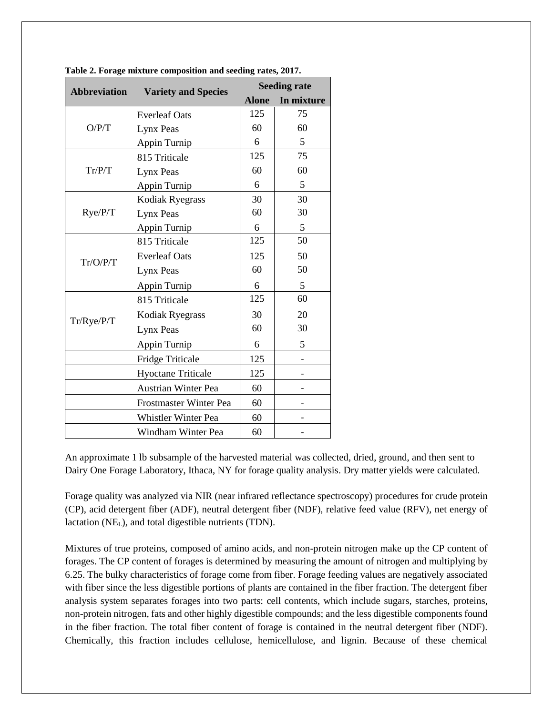| <b>Abbreviation</b><br><b>Variety and Species</b> |                               | <b>Seeding rate</b> |            |  |  |
|---------------------------------------------------|-------------------------------|---------------------|------------|--|--|
|                                                   |                               | <b>Alone</b>        | In mixture |  |  |
|                                                   | <b>Everleaf Oats</b>          | 125                 | 75         |  |  |
| O/P/T                                             | Lynx Peas                     | 60                  | 60         |  |  |
|                                                   | Appin Turnip                  | 6                   | 5          |  |  |
|                                                   | 815 Triticale                 | 125                 | 75         |  |  |
| Tr/P/T                                            | Lynx Peas                     | 60                  | 60         |  |  |
|                                                   | Appin Turnip                  | 6                   | 5          |  |  |
|                                                   | Kodiak Ryegrass               | 30                  | 30         |  |  |
| Rye/P/T                                           | Lynx Peas                     | 60                  | 30         |  |  |
|                                                   | Appin Turnip                  | 6                   | 5          |  |  |
|                                                   | 815 Triticale                 | 125                 | 50         |  |  |
| Tr/O/P/T                                          | <b>Everleaf Oats</b>          | 125                 | 50         |  |  |
|                                                   | Lynx Peas                     | 60                  | 50         |  |  |
|                                                   | Appin Turnip                  | 6                   | 5          |  |  |
|                                                   | 815 Triticale                 | 125                 | 60         |  |  |
| Tr/Rye/P/T                                        | Kodiak Ryegrass               | 30                  | 20         |  |  |
|                                                   | Lynx Peas                     | 60                  | 30         |  |  |
|                                                   | Appin Turnip                  | 6                   | 5          |  |  |
|                                                   | <b>Fridge Triticale</b>       | 125                 |            |  |  |
|                                                   | <b>Hyoctane Triticale</b>     | 125                 |            |  |  |
|                                                   | <b>Austrian Winter Pea</b>    | 60                  |            |  |  |
|                                                   | <b>Frostmaster Winter Pea</b> | 60                  |            |  |  |
|                                                   | Whistler Winter Pea           | 60                  |            |  |  |
|                                                   | Windham Winter Pea            | 60                  |            |  |  |

**Table 2. Forage mixture composition and seeding rates, 2017.**

An approximate 1 lb subsample of the harvested material was collected, dried, ground, and then sent to Dairy One Forage Laboratory, Ithaca, NY for forage quality analysis. Dry matter yields were calculated.

Forage quality was analyzed via NIR (near infrared reflectance spectroscopy) procedures for crude protein (CP), acid detergent fiber (ADF), neutral detergent fiber (NDF), relative feed value (RFV), net energy of lactation (NE<sub>L</sub>), and total digestible nutrients (TDN).

Mixtures of true proteins, composed of amino acids, and non-protein nitrogen make up the CP content of forages. The CP content of forages is determined by measuring the amount of nitrogen and multiplying by 6.25. The bulky characteristics of forage come from fiber. Forage feeding values are negatively associated with fiber since the less digestible portions of plants are contained in the fiber fraction. The detergent fiber analysis system separates forages into two parts: cell contents, which include sugars, starches, proteins, non-protein nitrogen, fats and other highly digestible compounds; and the less digestible components found in the fiber fraction. The total fiber content of forage is contained in the neutral detergent fiber (NDF). Chemically, this fraction includes cellulose, hemicellulose, and lignin. Because of these chemical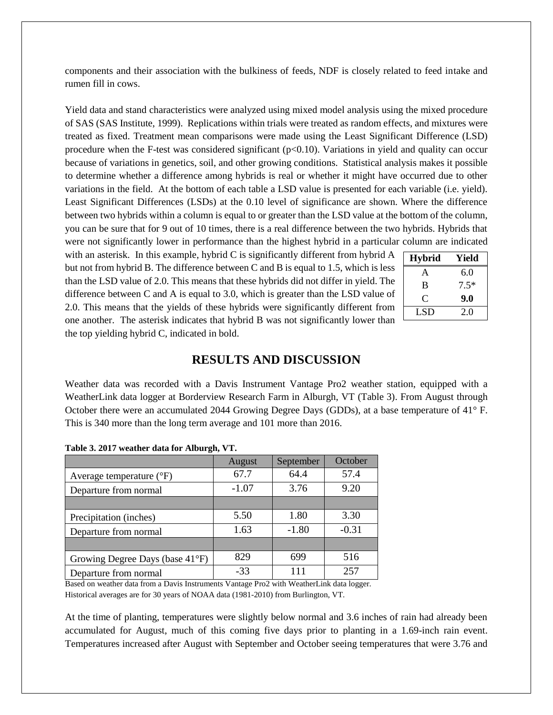components and their association with the bulkiness of feeds, NDF is closely related to feed intake and rumen fill in cows.

Yield data and stand characteristics were analyzed using mixed model analysis using the mixed procedure of SAS (SAS Institute, 1999). Replications within trials were treated as random effects, and mixtures were treated as fixed. Treatment mean comparisons were made using the Least Significant Difference (LSD) procedure when the F-test was considered significant  $(p<0.10)$ . Variations in yield and quality can occur because of variations in genetics, soil, and other growing conditions. Statistical analysis makes it possible to determine whether a difference among hybrids is real or whether it might have occurred due to other variations in the field. At the bottom of each table a LSD value is presented for each variable (i.e. yield). Least Significant Differences (LSDs) at the 0.10 level of significance are shown. Where the difference between two hybrids within a column is equal to or greater than the LSD value at the bottom of the column, you can be sure that for 9 out of 10 times, there is a real difference between the two hybrids. Hybrids that were not significantly lower in performance than the highest hybrid in a particular column are indicated

with an asterisk. In this example, hybrid C is significantly different from hybrid A but not from hybrid B. The difference between C and B is equal to 1.5, which is less than the LSD value of 2.0. This means that these hybrids did not differ in yield. The difference between C and A is equal to 3.0, which is greater than the LSD value of 2.0. This means that the yields of these hybrids were significantly different from one another. The asterisk indicates that hybrid B was not significantly lower than the top yielding hybrid C, indicated in bold.

| <b>Hybrid</b> | Yield  |
|---------------|--------|
| А             | 6.0    |
| B             | $7.5*$ |
| C             | 9.0    |
| LSD           | 2.0    |

## **RESULTS AND DISCUSSION**

Weather data was recorded with a Davis Instrument Vantage Pro2 weather station, equipped with a WeatherLink data logger at Borderview Research Farm in Alburgh, VT (Table 3). From August through October there were an accumulated 2044 Growing Degree Days (GDDs), at a base temperature of 41° F. This is 340 more than the long term average and 101 more than 2016.

|                                     | August  | September | October |
|-------------------------------------|---------|-----------|---------|
| Average temperature $({}^{\circ}F)$ | 67.7    | 64.4      | 57.4    |
| Departure from normal               | $-1.07$ | 3.76      | 9.20    |
|                                     |         |           |         |
| Precipitation (inches)              | 5.50    | 1.80      | 3.30    |
| Departure from normal               | 1.63    | $-1.80$   | $-0.31$ |
|                                     |         |           |         |
| Growing Degree Days (base 41°F)     | 829     | 699       | 516     |
| Departure from normal               | $-33$   | 111       | 257     |

| Table 3. 2017 weather data for Alburgh, VT. |  |  |  |  |
|---------------------------------------------|--|--|--|--|
|---------------------------------------------|--|--|--|--|

Based on weather data from a Davis Instruments Vantage Pro2 with WeatherLink data logger. Historical averages are for 30 years of NOAA data (1981-2010) from Burlington, VT.

At the time of planting, temperatures were slightly below normal and 3.6 inches of rain had already been accumulated for August, much of this coming five days prior to planting in a 1.69-inch rain event. Temperatures increased after August with September and October seeing temperatures that were 3.76 and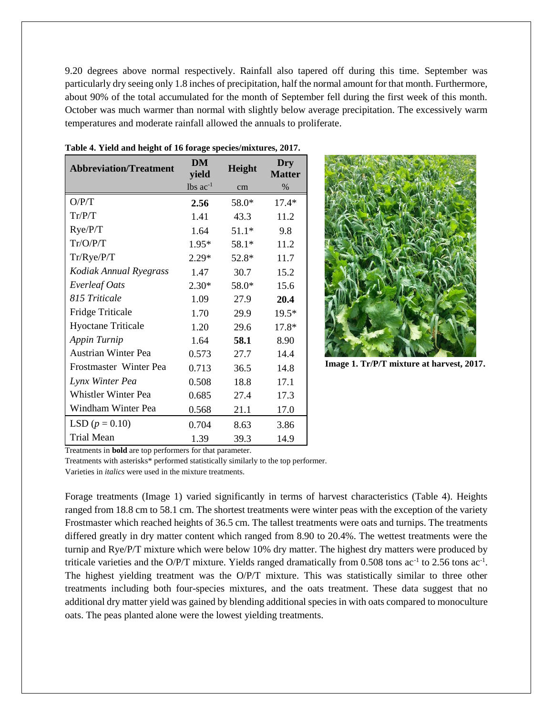9.20 degrees above normal respectively. Rainfall also tapered off during this time. September was particularly dry seeing only 1.8 inches of precipitation, half the normal amount for that month. Furthermore, about 90% of the total accumulated for the month of September fell during the first week of this month. October was much warmer than normal with slightly below average precipitation. The excessively warm temperatures and moderate rainfall allowed the annuals to proliferate.

| <b>Abbreviation/Treatment</b> | DM<br>yield   | Height  | Dry<br><b>Matter</b> |
|-------------------------------|---------------|---------|----------------------|
|                               | lbs $ac^{-1}$ | cm      | $\%$                 |
| O/P/T                         | 2.56          | 58.0*   | $17.4*$              |
| Tr/P/T                        | 1.41          | 43.3    | 11.2                 |
| Rye/P/T                       | 1.64          | $51.1*$ | 9.8                  |
| Tr/O/P/T                      | $1.95*$       | $58.1*$ | 11.2                 |
| Tr/Rye/P/T                    | $2.29*$       | $52.8*$ | 11.7                 |
| Kodiak Annual Ryegrass        | 1.47          | 30.7    | 15.2                 |
| <b>Everleaf Oats</b>          | $2.30*$       | $58.0*$ | 15.6                 |
| 815 Triticale                 | 1.09          | 27.9    | 20.4                 |
| <b>Fridge Triticale</b>       | 1.70          | 29.9    | 19.5*                |
| <b>Hyoctane Triticale</b>     | 1.20          | 29.6    | $17.8*$              |
| Appin Turnip                  | 1.64          | 58.1    | 8.90                 |
| <b>Austrian Winter Pea</b>    | 0.573         | 27.7    | 14.4                 |
| Frostmaster Winter Pea        | 0.713         | 36.5    | 14.8                 |
| Lynx Winter Pea               | 0.508         | 18.8    | 17.1                 |
| <b>Whistler Winter Pea</b>    | 0.685         | 27.4    | 17.3                 |
| Windham Winter Pea            | 0.568         | 21.1    | 17.0                 |
| LSD $(p = 0.10)$              | 0.704         | 8.63    | 3.86                 |
| <b>Trial Mean</b>             | 1.39          | 39.3    | 14.9                 |

**Table 4. Yield and height of 16 forage species/mixtures, 2017.**



**Image 1. Tr/P/T mixture at harvest, 2017.**

Treatments in **bold** are top performers for that parameter.

Treatments with asterisks\* performed statistically similarly to the top performer.

Varieties in *italics* were used in the mixture treatments.

Forage treatments (Image 1) varied significantly in terms of harvest characteristics (Table 4). Heights ranged from 18.8 cm to 58.1 cm. The shortest treatments were winter peas with the exception of the variety Frostmaster which reached heights of 36.5 cm. The tallest treatments were oats and turnips. The treatments differed greatly in dry matter content which ranged from 8.90 to 20.4%. The wettest treatments were the turnip and Rye/P/T mixture which were below 10% dry matter. The highest dry matters were produced by triticale varieties and the O/P/T mixture. Yields ranged dramatically from  $0.508$  tons ac<sup>-1</sup> to 2.56 tons ac<sup>-1</sup>. The highest yielding treatment was the O/P/T mixture. This was statistically similar to three other treatments including both four-species mixtures, and the oats treatment. These data suggest that no additional dry matter yield was gained by blending additional species in with oats compared to monoculture oats. The peas planted alone were the lowest yielding treatments.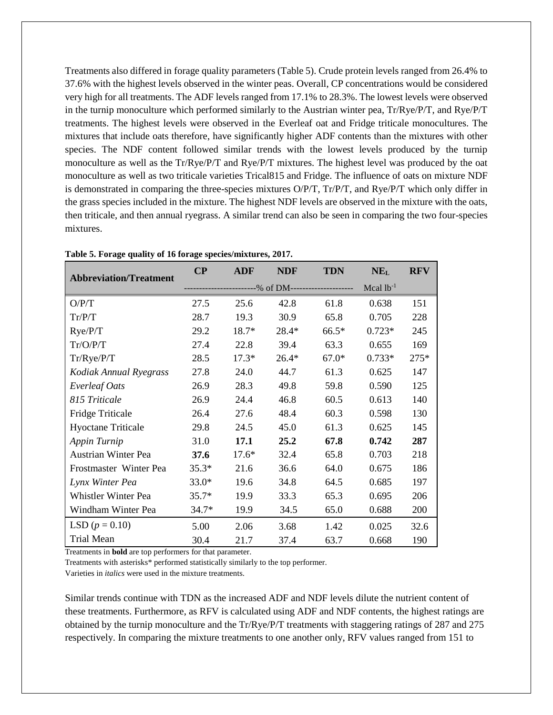Treatments also differed in forage quality parameters (Table 5). Crude protein levels ranged from 26.4% to 37.6% with the highest levels observed in the winter peas. Overall, CP concentrations would be considered very high for all treatments. The ADF levels ranged from 17.1% to 28.3%. The lowest levels were observed in the turnip monoculture which performed similarly to the Austrian winter pea, Tr/Rye/P/T, and Rye/P/T treatments. The highest levels were observed in the Everleaf oat and Fridge triticale monocultures. The mixtures that include oats therefore, have significantly higher ADF contents than the mixtures with other species. The NDF content followed similar trends with the lowest levels produced by the turnip monoculture as well as the Tr/Rye/P/T and Rye/P/T mixtures. The highest level was produced by the oat monoculture as well as two triticale varieties Trical815 and Fridge. The influence of oats on mixture NDF is demonstrated in comparing the three-species mixtures O/P/T, Tr/P/T, and Rye/P/T which only differ in the grass species included in the mixture. The highest NDF levels are observed in the mixture with the oats, then triticale, and then annual ryegrass. A similar trend can also be seen in comparing the two four-species mixtures.

| <b>Abbreviation/Treatment</b> | $\bf CP$ | <b>ADF</b>                                | <b>NDF</b> | <b>TDN</b> | NE <sub>L</sub> | <b>RFV</b> |
|-------------------------------|----------|-------------------------------------------|------------|------------|-----------------|------------|
|                               |          | -------------% of DM--------------------- |            |            | Mcal $lb^{-1}$  |            |
| O/P/T                         | 27.5     | 25.6                                      | 42.8       | 61.8       | 0.638           | 151        |
| Tr/P/T                        | 28.7     | 19.3                                      | 30.9       | 65.8       | 0.705           | 228        |
| Rye/P/T                       | 29.2     | 18.7*                                     | 28.4*      | $66.5*$    | $0.723*$        | 245        |
| Tr/O/P/T                      | 27.4     | 22.8                                      | 39.4       | 63.3       | 0.655           | 169        |
| Tr/Rye/P/T                    | 28.5     | $17.3*$                                   | $26.4*$    | $67.0*$    | $0.733*$        | $275*$     |
| Kodiak Annual Ryegrass        | 27.8     | 24.0                                      | 44.7       | 61.3       | 0.625           | 147        |
| <b>Everleaf Oats</b>          | 26.9     | 28.3                                      | 49.8       | 59.8       | 0.590           | 125        |
| 815 Triticale                 | 26.9     | 24.4                                      | 46.8       | 60.5       | 0.613           | 140        |
| <b>Fridge Triticale</b>       | 26.4     | 27.6                                      | 48.4       | 60.3       | 0.598           | 130        |
| <b>Hyoctane Triticale</b>     | 29.8     | 24.5                                      | 45.0       | 61.3       | 0.625           | 145        |
| Appin Turnip                  | 31.0     | 17.1                                      | 25.2       | 67.8       | 0.742           | 287        |
| <b>Austrian Winter Pea</b>    | 37.6     | $17.6*$                                   | 32.4       | 65.8       | 0.703           | 218        |
| Frostmaster Winter Pea        | $35.3*$  | 21.6                                      | 36.6       | 64.0       | 0.675           | 186        |
| Lynx Winter Pea               | $33.0*$  | 19.6                                      | 34.8       | 64.5       | 0.685           | 197        |
| Whistler Winter Pea           | $35.7*$  | 19.9                                      | 33.3       | 65.3       | 0.695           | 206        |
| Windham Winter Pea            | $34.7*$  | 19.9                                      | 34.5       | 65.0       | 0.688           | 200        |
| LSD $(p = 0.10)$              | 5.00     | 2.06                                      | 3.68       | 1.42       | 0.025           | 32.6       |
| <b>Trial Mean</b>             | 30.4     | 21.7                                      | 37.4       | 63.7       | 0.668           | 190        |

**Table 5. Forage quality of 16 forage species/mixtures, 2017.**

Treatments in **bold** are top performers for that parameter.

Treatments with asterisks\* performed statistically similarly to the top performer.

Varieties in *italics* were used in the mixture treatments.

Similar trends continue with TDN as the increased ADF and NDF levels dilute the nutrient content of these treatments. Furthermore, as RFV is calculated using ADF and NDF contents, the highest ratings are obtained by the turnip monoculture and the Tr/Rye/P/T treatments with staggering ratings of 287 and 275 respectively. In comparing the mixture treatments to one another only, RFV values ranged from 151 to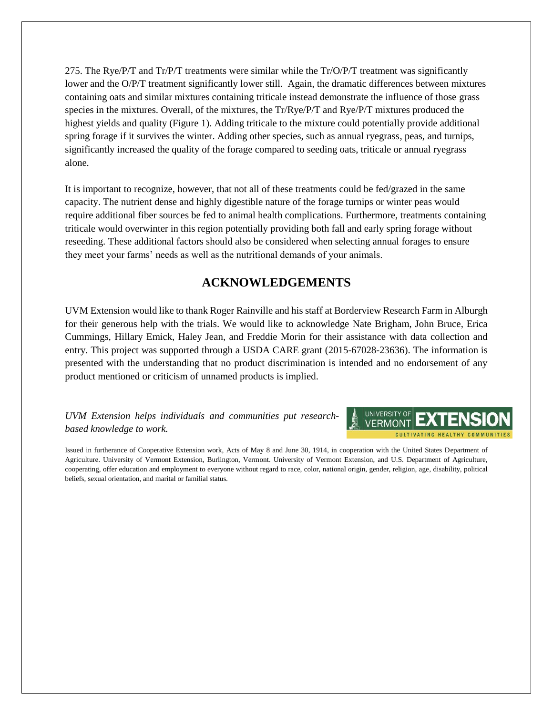275. The Rye/P/T and  $Tr/PT$  treatments were similar while the  $Tr/QPT$  treatment was significantly lower and the O/P/T treatment significantly lower still. Again, the dramatic differences between mixtures containing oats and similar mixtures containing triticale instead demonstrate the influence of those grass species in the mixtures. Overall, of the mixtures, the Tr/Rye/P/T and Rye/P/T mixtures produced the highest yields and quality (Figure 1). Adding triticale to the mixture could potentially provide additional spring forage if it survives the winter. Adding other species, such as annual ryegrass, peas, and turnips, significantly increased the quality of the forage compared to seeding oats, triticale or annual ryegrass alone.

It is important to recognize, however, that not all of these treatments could be fed/grazed in the same capacity. The nutrient dense and highly digestible nature of the forage turnips or winter peas would require additional fiber sources be fed to animal health complications. Furthermore, treatments containing triticale would overwinter in this region potentially providing both fall and early spring forage without reseeding. These additional factors should also be considered when selecting annual forages to ensure they meet your farms' needs as well as the nutritional demands of your animals.

## **ACKNOWLEDGEMENTS**

UVM Extension would like to thank Roger Rainville and his staff at Borderview Research Farm in Alburgh for their generous help with the trials. We would like to acknowledge Nate Brigham, John Bruce, Erica Cummings, Hillary Emick, Haley Jean, and Freddie Morin for their assistance with data collection and entry. This project was supported through a USDA CARE grant (2015-67028-23636). The information is presented with the understanding that no product discrimination is intended and no endorsement of any product mentioned or criticism of unnamed products is implied.

#### *UVM Extension helps individuals and communities put researchbased knowledge to work.*



Issued in furtherance of Cooperative Extension work, Acts of May 8 and June 30, 1914, in cooperation with the United States Department of Agriculture. University of Vermont Extension, Burlington, Vermont. University of Vermont Extension, and U.S. Department of Agriculture, cooperating, offer education and employment to everyone without regard to race, color, national origin, gender, religion, age, disability, political beliefs, sexual orientation, and marital or familial status.